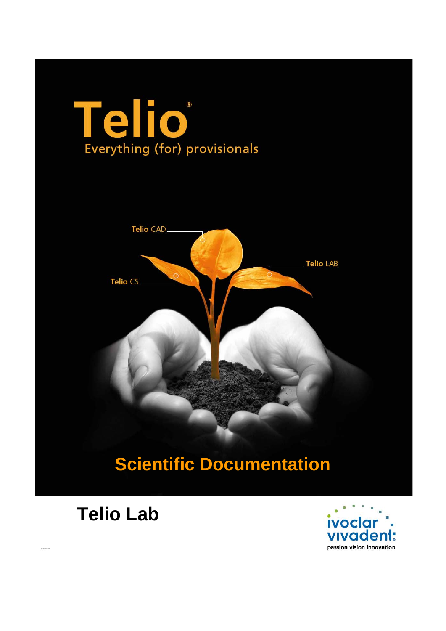# Telio Everything (for) provisionals



# **Scientific Documentation**

# **Telio Lab**

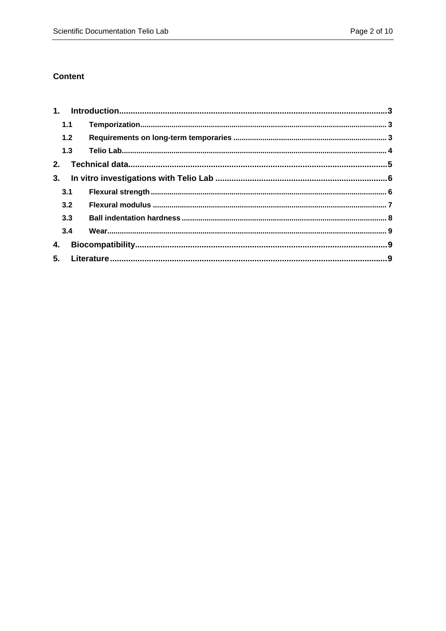#### **Content**

| 1.1   |  |
|-------|--|
| $1.2$ |  |
| 1.3   |  |
| 2.    |  |
| 3.    |  |
| 3.1   |  |
| 3.2   |  |
| 3.3   |  |
| 3.4   |  |
| 4.    |  |
|       |  |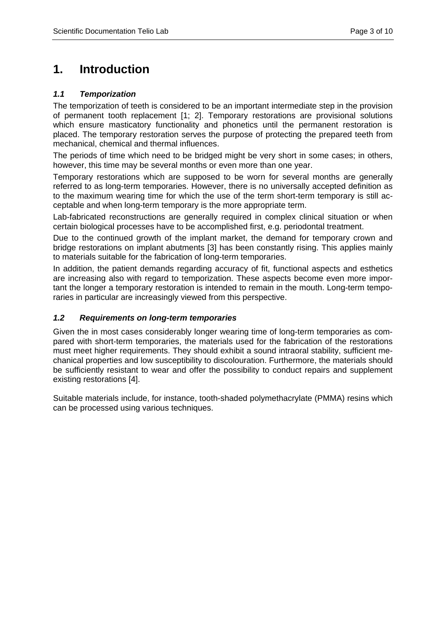# **1. Introduction**

#### *1.1 Temporization*

The temporization of teeth is considered to be an important intermediate step in the provision of permanent tooth replacement [1; 2]. Temporary restorations are provisional solutions which ensure masticatory functionality and phonetics until the permanent restoration is placed. The temporary restoration serves the purpose of protecting the prepared teeth from mechanical, chemical and thermal influences.

The periods of time which need to be bridged might be very short in some cases; in others, however, this time may be several months or even more than one year.

Temporary restorations which are supposed to be worn for several months are generally referred to as long-term temporaries. However, there is no universally accepted definition as to the maximum wearing time for which the use of the term short-term temporary is still acceptable and when long-term temporary is the more appropriate term.

Lab-fabricated reconstructions are generally required in complex clinical situation or when certain biological processes have to be accomplished first, e.g. periodontal treatment.

Due to the continued growth of the implant market, the demand for temporary crown and bridge restorations on implant abutments [3] has been constantly rising. This applies mainly to materials suitable for the fabrication of long-term temporaries.

In addition, the patient demands regarding accuracy of fit, functional aspects and esthetics are increasing also with regard to temporization. These aspects become even more important the longer a temporary restoration is intended to remain in the mouth. Long-term temporaries in particular are increasingly viewed from this perspective.

#### *1.2 Requirements on long-term temporaries*

Given the in most cases considerably longer wearing time of long-term temporaries as compared with short-term temporaries, the materials used for the fabrication of the restorations must meet higher requirements. They should exhibit a sound intraoral stability, sufficient mechanical properties and low susceptibility to discolouration. Furthermore, the materials should be sufficiently resistant to wear and offer the possibility to conduct repairs and supplement existing restorations [4].

Suitable materials include, for instance, tooth-shaded polymethacrylate (PMMA) resins which can be processed using various techniques.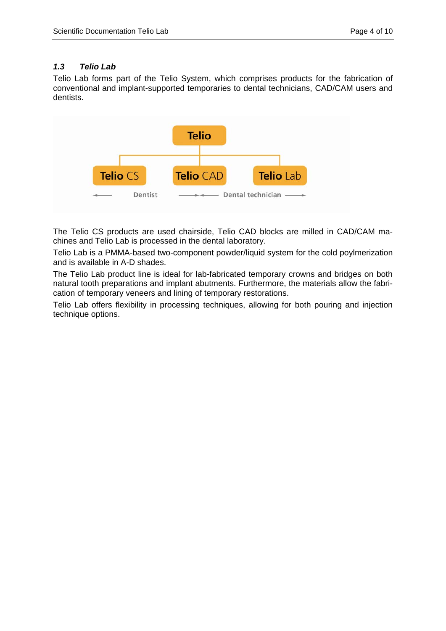#### *1.3 Telio Lab*

Telio Lab forms part of the Telio System, which comprises products for the fabrication of conventional and implant-supported temporaries to dental technicians, CAD/CAM users and dentists.



The Telio CS products are used chairside, Telio CAD blocks are milled in CAD/CAM machines and Telio Lab is processed in the dental laboratory.

Telio Lab is a PMMA-based two-component powder/liquid system for the cold poylmerization and is available in A-D shades.

The Telio Lab product line is ideal for lab-fabricated temporary crowns and bridges on both natural tooth preparations and implant abutments. Furthermore, the materials allow the fabrication of temporary veneers and lining of temporary restorations.

Telio Lab offers flexibility in processing techniques, allowing for both pouring and injection technique options.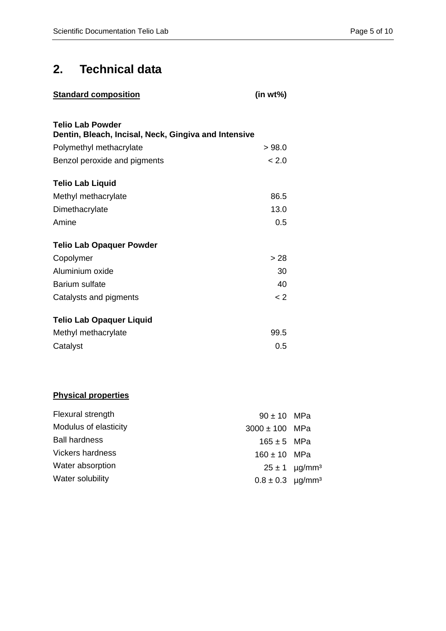# **2. Technical data**

| <b>Standard composition</b>                                              | $(in wt\%)$ |  |  |  |  |
|--------------------------------------------------------------------------|-------------|--|--|--|--|
|                                                                          |             |  |  |  |  |
| Telio Lab Powder<br>Dentin, Bleach, Incisal, Neck, Gingiva and Intensive |             |  |  |  |  |
| Polymethyl methacrylate                                                  | >98.0       |  |  |  |  |
| Benzol peroxide and pigments                                             | < 2.0       |  |  |  |  |
| <b>Telio Lab Liquid</b>                                                  |             |  |  |  |  |
| Methyl methacrylate                                                      | 86.5        |  |  |  |  |
| Dimethacrylate                                                           | 13.0        |  |  |  |  |
| Amine                                                                    | 0.5         |  |  |  |  |
| <b>Telio Lab Opaquer Powder</b>                                          |             |  |  |  |  |
| Copolymer                                                                | > 28        |  |  |  |  |
| Aluminium oxide                                                          | 30          |  |  |  |  |
| <b>Barium sulfate</b>                                                    | 40          |  |  |  |  |
| Catalysts and pigments                                                   | $\langle$ 2 |  |  |  |  |
| <b>Telio Lab Opaquer Liquid</b>                                          |             |  |  |  |  |
| Methyl methacrylate                                                      | 99.5        |  |  |  |  |
| Catalyst                                                                 | 0.5         |  |  |  |  |
|                                                                          |             |  |  |  |  |

## **Physical properties**

| Flexural strength     | $90 \pm 10$ MPa                  |                               |
|-----------------------|----------------------------------|-------------------------------|
| Modulus of elasticity | $3000 \pm 100$ MPa               |                               |
| <b>Ball hardness</b>  | $165 \pm 5$ MPa                  |                               |
| Vickers hardness      | $160 \pm 10$ MPa                 |                               |
| Water absorption      |                                  | $25 \pm 1$ µg/mm <sup>3</sup> |
| Water solubility      | $0.8 \pm 0.3$ µg/mm <sup>3</sup> |                               |
|                       |                                  |                               |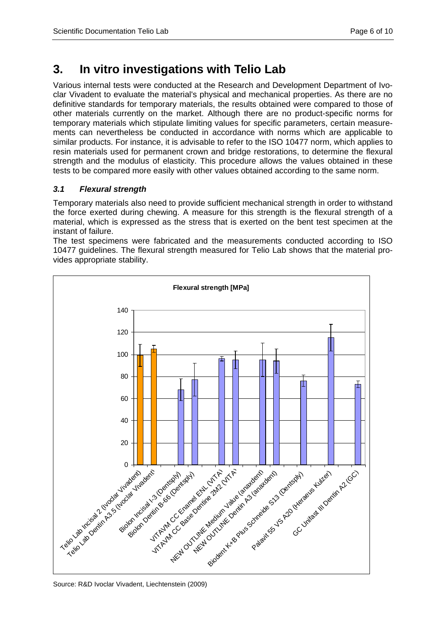# **3. In vitro investigations with Telio Lab**

Various internal tests were conducted at the Research and Development Department of Ivoclar Vivadent to evaluate the material's physical and mechanical properties. As there are no definitive standards for temporary materials, the results obtained were compared to those of other materials currently on the market. Although there are no product-specific norms for temporary materials which stipulate limiting values for specific parameters, certain measurements can nevertheless be conducted in accordance with norms which are applicable to similar products. For instance, it is advisable to refer to the ISO 10477 norm, which applies to resin materials used for permanent crown and bridge restorations, to determine the flexural strength and the modulus of elasticity. This procedure allows the values obtained in these tests to be compared more easily with other values obtained according to the same norm.

### *3.1 Flexural strength*

Temporary materials also need to provide sufficient mechanical strength in order to withstand the force exerted during chewing. A measure for this strength is the flexural strength of a material, which is expressed as the stress that is exerted on the bent test specimen at the instant of failure.

The test specimens were fabricated and the measurements conducted according to ISO 10477 guidelines. The flexural strength measured for Telio Lab shows that the material provides appropriate stability.

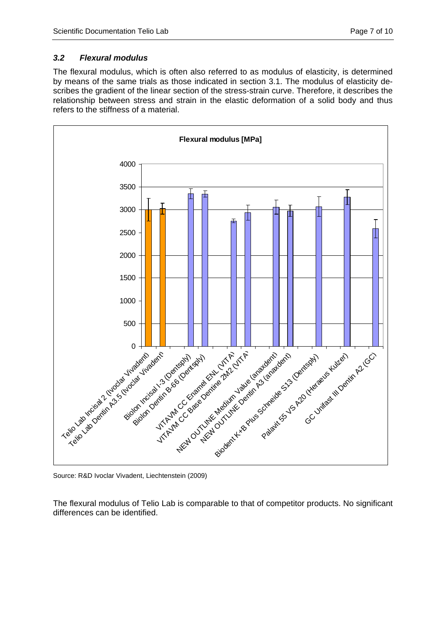### *3.2 Flexural modulus*

The flexural modulus, which is often also referred to as modulus of elasticity, is determined by means of the same trials as those indicated in section 3.1. The modulus of elasticity describes the gradient of the linear section of the stress-strain curve. Therefore, it describes the relationship between stress and strain in the elastic deformation of a solid body and thus refers to the stiffness of a material.



Source: R&D Ivoclar Vivadent, Liechtenstein (2009)

The flexural modulus of Telio Lab is comparable to that of competitor products. No significant differences can be identified.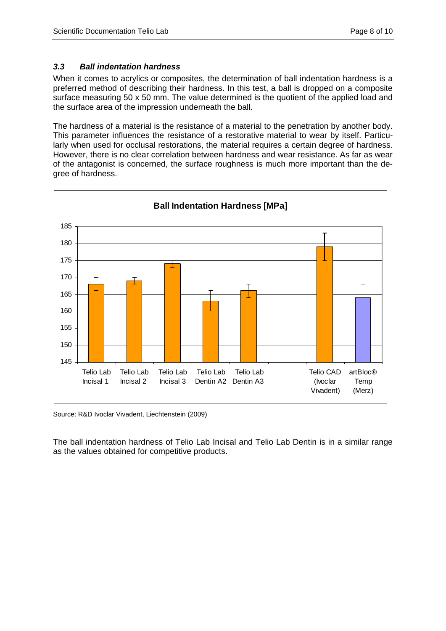#### *3.3 Ball indentation hardness*

When it comes to acrylics or composites, the determination of ball indentation hardness is a preferred method of describing their hardness. In this test, a ball is dropped on a composite surface measuring 50 x 50 mm. The value determined is the quotient of the applied load and the surface area of the impression underneath the ball.

The hardness of a material is the resistance of a material to the penetration by another body. This parameter influences the resistance of a restorative material to wear by itself. Particularly when used for occlusal restorations, the material requires a certain degree of hardness. However, there is no clear correlation between hardness and wear resistance. As far as wear of the antagonist is concerned, the surface roughness is much more important than the degree of hardness.



Source: R&D Ivoclar Vivadent, Liechtenstein (2009)

The ball indentation hardness of Telio Lab Incisal and Telio Lab Dentin is in a similar range as the values obtained for competitive products.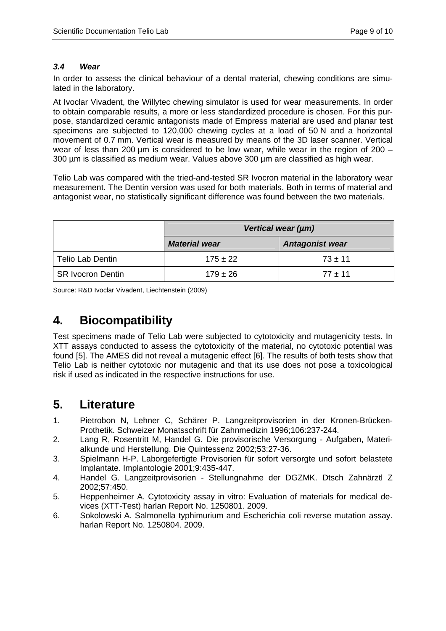#### *3.4 Wear*

In order to assess the clinical behaviour of a dental material, chewing conditions are simulated in the laboratory.

At Ivoclar Vivadent, the Willytec chewing simulator is used for wear measurements. In order to obtain comparable results, a more or less standardized procedure is chosen. For this purpose, standardized ceramic antagonists made of Empress material are used and planar test specimens are subjected to 120,000 chewing cycles at a load of 50 N and a horizontal movement of 0.7 mm. Vertical wear is measured by means of the 3D laser scanner. Vertical wear of less than 200 µm is considered to be low wear, while wear in the region of 200 – 300 µm is classified as medium wear. Values above 300 µm are classified as high wear.

Telio Lab was compared with the tried-and-tested SR Ivocron material in the laboratory wear measurement. The Dentin version was used for both materials. Both in terms of material and antagonist wear, no statistically significant difference was found between the two materials.

|                          | Vertical wear (µm)   |                        |  |
|--------------------------|----------------------|------------------------|--|
|                          | <b>Material wear</b> | <b>Antagonist wear</b> |  |
| <b>Telio Lab Dentin</b>  | $175 \pm 22$         | $73 + 11$              |  |
| <b>SR Ivocron Dentin</b> | $179 \pm 26$         | $77 + 11$              |  |

Source: R&D Ivoclar Vivadent, Liechtenstein (2009)

# **4. Biocompatibility**

Test specimens made of Telio Lab were subjected to cytotoxicity and mutagenicity tests. In XTT assays conducted to assess the cytotoxicity of the material, no cytotoxic potential was found [5]. The AMES did not reveal a mutagenic effect [6]. The results of both tests show that Telio Lab is neither cytotoxic nor mutagenic and that its use does not pose a toxicological risk if used as indicated in the respective instructions for use.

# **5. Literature**

- 1. Pietrobon N, Lehner C, Schärer P. Langzeitprovisorien in der Kronen-Brücken-Prothetik. Schweizer Monatsschrift für Zahnmedizin 1996;106:237-244.
- 2. Lang R, Rosentritt M, Handel G. Die provisorische Versorgung Aufgaben, Materialkunde und Herstellung. Die Quintessenz 2002;53:27-36.
- 3. Spielmann H-P. Laborgefertigte Provisorien für sofort versorgte und sofort belastete Implantate. Implantologie 2001;9:435-447.
- 4. Handel G. Langzeitprovisorien Stellungnahme der DGZMK. Dtsch Zahnärztl Z 2002;57:450.
- 5. Heppenheimer A. Cytotoxicity assay in vitro: Evaluation of materials for medical devices (XTT-Test) harlan Report No. 1250801. 2009.
- 6. Sokolowski A. Salmonella typhimurium and Escherichia coli reverse mutation assay. harlan Report No. 1250804. 2009.